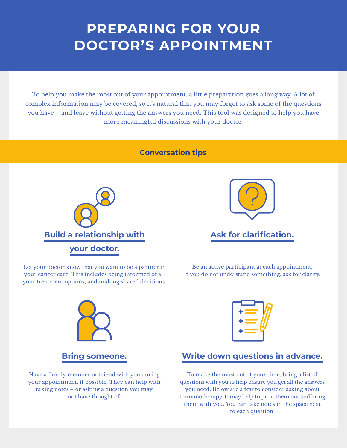## **PREPARING FOR YOUR DOCTOR'S APPOINTMENT**

To help you make the most out of your appointment, a little preparation goes a long way. A lot of complex information may be covered, so it's natural that you may forget to ask some of the questions you have – and leave without getting the answers you need. This tool was designed to help you have more meaningful discussions with your doctor.

## **Conversation tips**





## **Ask for clarification.**

Let your doctor know that you want to be a partner in your cancer care. This includes being informed of all your treatment options, and making shared decisions.

Be an active participant at each appointment. If you do not understand something, ask for clarity.



Have a family member or friend with you during your appointment, if possible. They can help with taking notes – or asking a question you may not have thought of.



## **Write down questions in advance.**

To make the most out of your time, bring a list of questions with you to help ensure you get all the answers you need. Below are a few to consider asking about immunotherapy. It may help to print them out and bring them with you. You can take notes in the space next to each question.